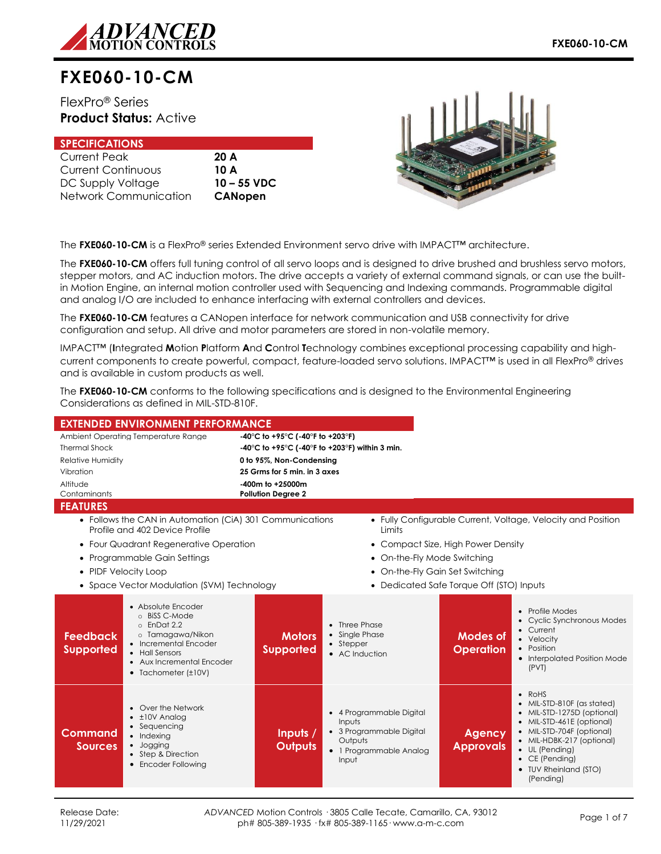

# **FXE060-10-CM**

FlexPro® Series **Product Status:** Active

| <b>SPECIFICATIONS</b>     |                |
|---------------------------|----------------|
| Current Peak              | 20A            |
| <b>Current Continuous</b> | 10 A           |
| DC Supply Voltage         | $10 - 55$ VDC  |
| Network Communication     | <b>CANopen</b> |



The **FXE060-10-CM** is a FlexPro® series Extended Environment servo drive with IMPACT™ architecture.

The **FXE060-10-CM** offers full tuning control of all servo loops and is designed to drive brushed and brushless servo motors, stepper motors, and AC induction motors. The drive accepts a variety of external command signals, or can use the builtin Motion Engine, an internal motion controller used with Sequencing and Indexing commands. Programmable digital and analog I/O are included to enhance interfacing with external controllers and devices.

The **FXE060-10-CM** features a CANopen interface for network communication and USB connectivity for drive configuration and setup. All drive and motor parameters are stored in non-volatile memory.

IMPACT™ (**I**ntegrated **M**otion **P**latform **A**nd **C**ontrol **T**echnology combines exceptional processing capability and highcurrent components to create powerful, compact, feature-loaded servo solutions. IMPACT™ is used in all FlexPro® drives and is available in custom products as well.

The **FXE060-10-CM** conforms to the following specifications and is designed to the Environmental Engineering Considerations as defined in MIL-STD-810F.

| <b>EXTENDED ENVIRONMENT PERFORMANCE</b>                                                                                                                                                                                      |                                                |                                                                                                               |                                          |                                                                                                                                                                                                                                                     |
|------------------------------------------------------------------------------------------------------------------------------------------------------------------------------------------------------------------------------|------------------------------------------------|---------------------------------------------------------------------------------------------------------------|------------------------------------------|-----------------------------------------------------------------------------------------------------------------------------------------------------------------------------------------------------------------------------------------------------|
| Ambient Operating Temperature Range                                                                                                                                                                                          | -40°C to +95°C (-40°F to +203°F)               |                                                                                                               |                                          |                                                                                                                                                                                                                                                     |
| <b>Thermal Shock</b>                                                                                                                                                                                                         | -40°C to +95°C (-40°F to +203°F) within 3 min. |                                                                                                               |                                          |                                                                                                                                                                                                                                                     |
| <b>Relative Humidity</b>                                                                                                                                                                                                     | 0 to 95%, Non-Condensing                       |                                                                                                               |                                          |                                                                                                                                                                                                                                                     |
| Vibration                                                                                                                                                                                                                    | 25 Grms for 5 min. in 3 axes                   |                                                                                                               |                                          |                                                                                                                                                                                                                                                     |
| Altitude                                                                                                                                                                                                                     | -400m to +25000m                               |                                                                                                               |                                          |                                                                                                                                                                                                                                                     |
| Contaminants                                                                                                                                                                                                                 | <b>Pollution Degree 2</b>                      |                                                                                                               |                                          |                                                                                                                                                                                                                                                     |
| <b>FEATURES</b>                                                                                                                                                                                                              |                                                |                                                                                                               |                                          |                                                                                                                                                                                                                                                     |
| • Follows the CAN in Automation (CiA) 301 Communications<br>Profile and 402 Device Profile                                                                                                                                   |                                                | Limits                                                                                                        |                                          | • Fully Configurable Current, Voltage, Velocity and Position                                                                                                                                                                                        |
| • Four Quadrant Regenerative Operation                                                                                                                                                                                       |                                                |                                                                                                               | • Compact Size, High Power Density       |                                                                                                                                                                                                                                                     |
| • Programmable Gain Settings                                                                                                                                                                                                 |                                                | • On-the-Fly Mode Switching                                                                                   |                                          |                                                                                                                                                                                                                                                     |
| • PIDF Velocity Loop                                                                                                                                                                                                         |                                                |                                                                                                               | • On-the-Fly Gain Set Switching          |                                                                                                                                                                                                                                                     |
| • Space Vector Modulation (SVM) Technology                                                                                                                                                                                   |                                                |                                                                                                               | • Dedicated Safe Torque Off (STO) Inputs |                                                                                                                                                                                                                                                     |
|                                                                                                                                                                                                                              |                                                |                                                                                                               |                                          |                                                                                                                                                                                                                                                     |
| • Absolute Encoder<br>o BiSS C-Mode<br>$o$ EnDat 2.2<br>o Tamagawa/Nikon<br><b>Feedback</b><br>• Incremental Encoder<br><b>Supported</b><br>• Hall Sensors<br>• Aux Incremental Encoder<br>$\bullet$ Tachometer ( $\pm$ 10V) | <b>Motors</b><br><b>Supported</b>              | • Three Phase<br>• Single Phase<br>• Stepper<br>• AC Induction                                                | Modes of<br><b>Operation</b>             | • Profile Modes<br>• Cyclic Synchronous Modes<br>• Current<br>• Velocity<br>• Position<br>• Interpolated Position Mode<br>(PVT)                                                                                                                     |
| • Over the Network<br>$\cdot$ $\pm$ 10V Analog<br>• Sequencing<br>Command<br>• Indexing<br>· Jogging<br><b>Sources</b><br>• Step & Direction<br>• Encoder Following                                                          | Inputs /<br><b>Outputs</b>                     | • 4 Programmable Digital<br>Inputs<br>• 3 Programmable Digital<br>Outputs<br>• 1 Programmable Analog<br>Input | <b>Agency</b><br><b>Approvals</b>        | $\bullet$ RoHS<br>• MIL-STD-810F (as stated)<br>• MIL-STD-1275D (optional)<br>• MIL-STD-461E (optional)<br>• MIL-STD-704F (optional)<br>• MIL-HDBK-217 (optional)<br>• UL (Pending)<br>$\bullet$ CE (Pending)<br>• TUV Rheinland (STO)<br>(Pending) |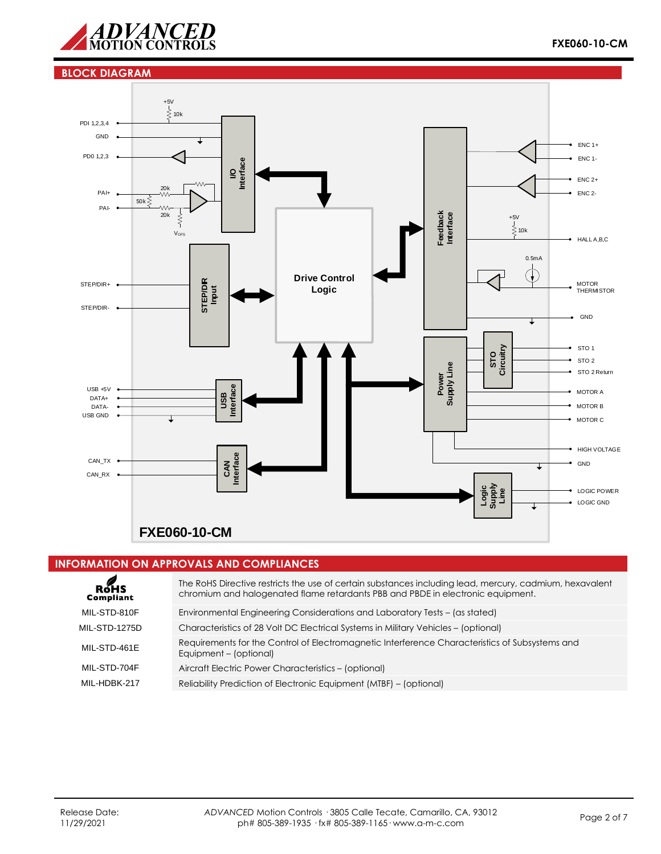

#### **BLOCK DIAGRAM**



#### **INFORMATION ON APPROVALS AND COMPLIANCES**

| ROHS<br>Compliant | The RoHS Directive restricts the use of certain substances including lead, mercury, cadmium, hexavalent<br>chromium and halogenated flame retardants PBB and PBDE in electronic equipment. |
|-------------------|--------------------------------------------------------------------------------------------------------------------------------------------------------------------------------------------|
| MIL-STD-810F      | Environmental Engineering Considerations and Laboratory Tests – (as stated)                                                                                                                |
| MIL-STD-1275D     | Characteristics of 28 Volt DC Electrical Systems in Military Vehicles – (optional)                                                                                                         |
| MIL-STD-461E      | Requirements for the Control of Electromagnetic Interference Characteristics of Subsystems and<br>Equipment - (optional)                                                                   |
| MIL-STD-704F      | Aircraft Electric Power Characteristics - (optional)                                                                                                                                       |
| MIL-HDBK-217      | Reliability Prediction of Electronic Equipment (MTBF) - (optional)                                                                                                                         |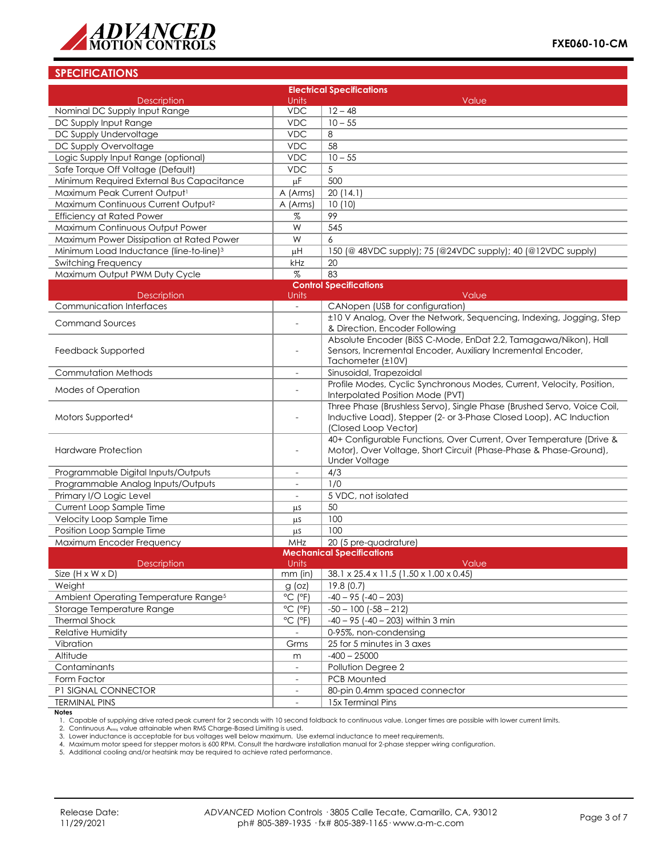

# **SPECIFICATIONS**

| <b>Electrical Specifications</b>                    |                              |                                                                                                                                               |  |  |
|-----------------------------------------------------|------------------------------|-----------------------------------------------------------------------------------------------------------------------------------------------|--|--|
| <b>Description</b>                                  | Units                        | Value                                                                                                                                         |  |  |
| Nominal DC Supply Input Range                       | <b>VDC</b>                   | $12 - 48$                                                                                                                                     |  |  |
| DC Supply Input Range                               | <b>VDC</b>                   | $10 - 55$                                                                                                                                     |  |  |
| DC Supply Undervoltage                              | <b>VDC</b>                   | 8                                                                                                                                             |  |  |
| DC Supply Overvoltage                               | <b>VDC</b>                   | 58                                                                                                                                            |  |  |
| Logic Supply Input Range (optional)                 | <b>VDC</b>                   | $10 - 55$                                                                                                                                     |  |  |
| Safe Torque Off Voltage (Default)                   | <b>VDC</b>                   | 5                                                                                                                                             |  |  |
| Minimum Required External Bus Capacitance           | μF                           | 500                                                                                                                                           |  |  |
| Maximum Peak Current Output1                        | A (Arms)                     | 20(14.1)                                                                                                                                      |  |  |
| Maximum Continuous Current Output <sup>2</sup>      | A (Arms)                     | 10(10)                                                                                                                                        |  |  |
| <b>Efficiency at Rated Power</b>                    | %                            | 99                                                                                                                                            |  |  |
| Maximum Continuous Output Power                     | W                            | 545                                                                                                                                           |  |  |
| Maximum Power Dissipation at Rated Power            | W                            | 6                                                                                                                                             |  |  |
| Minimum Load Inductance (line-to-line) <sup>3</sup> | μH                           | 150 (@ 48VDC supply); 75 (@24VDC supply); 40 (@12VDC supply)                                                                                  |  |  |
| Switching Frequency                                 | kHz                          | 20                                                                                                                                            |  |  |
| Maximum Output PWM Duty Cycle                       | $\%$                         | 83                                                                                                                                            |  |  |
|                                                     |                              | <b>Control Specifications</b>                                                                                                                 |  |  |
| <b>Description</b>                                  | Units                        | Value                                                                                                                                         |  |  |
| <b>Communication Interfaces</b>                     | $\overline{\phantom{0}}$     | CANopen (USB for configuration)                                                                                                               |  |  |
| <b>Command Sources</b>                              | $\overline{a}$               | ±10 V Analog, Over the Network, Sequencing, Indexing, Jogging, Step                                                                           |  |  |
|                                                     |                              | & Direction, Encoder Following                                                                                                                |  |  |
|                                                     |                              | Absolute Encoder (BiSS C-Mode, EnDat 2.2, Tamagawa/Nikon), Hall                                                                               |  |  |
| Feedback Supported                                  | $\overline{\phantom{a}}$     | Sensors, Incremental Encoder, Auxiliary Incremental Encoder,                                                                                  |  |  |
|                                                     |                              | Tachometer (±10V)                                                                                                                             |  |  |
| Commutation Methods                                 | $\overline{\phantom{a}}$     | Sinusoidal, Trapezoidal                                                                                                                       |  |  |
| Modes of Operation                                  |                              | Profile Modes, Cyclic Synchronous Modes, Current, Velocity, Position,<br>Interpolated Position Mode (PVT)                                     |  |  |
| Motors Supported <sup>4</sup>                       |                              | Three Phase (Brushless Servo), Single Phase (Brushed Servo, Voice Coil,<br>Inductive Load), Stepper (2- or 3-Phase Closed Loop), AC Induction |  |  |
|                                                     |                              | (Closed Loop Vector)                                                                                                                          |  |  |
|                                                     |                              | 40+ Configurable Functions, Over Current, Over Temperature (Drive &                                                                           |  |  |
| <b>Hardware Protection</b>                          | $\overline{a}$               | Motor), Over Voltage, Short Circuit (Phase-Phase & Phase-Ground),<br><b>Under Voltage</b>                                                     |  |  |
|                                                     |                              | 4/3                                                                                                                                           |  |  |
| Programmable Digital Inputs/Outputs                 | $\blacksquare$               | 1/0                                                                                                                                           |  |  |
| Programmable Analog Inputs/Outputs                  | $\overline{\phantom{a}}$     |                                                                                                                                               |  |  |
| Primary I/O Logic Level                             | $\overline{\phantom{a}}$     | 5 VDC, not isolated                                                                                                                           |  |  |
| Current Loop Sample Time                            | μS                           | 50<br>100                                                                                                                                     |  |  |
| Velocity Loop Sample Time                           | μS                           | 100                                                                                                                                           |  |  |
| Position Loop Sample Time                           | μs                           |                                                                                                                                               |  |  |
| Maximum Encoder Frequency                           | MHz                          | 20 (5 pre-quadrature)<br><b>Mechanical Specifications</b>                                                                                     |  |  |
| Description                                         | Units                        | Value                                                                                                                                         |  |  |
| Size $(H \times W \times D)$                        | $mm$ (in)                    | 38.1 x 25.4 x 11.5 (1.50 x 1.00 x 0.45)                                                                                                       |  |  |
| Weight                                              | $g$ (oz)                     | 19.8(0.7)                                                                                                                                     |  |  |
| Ambient Operating Temperature Range <sup>5</sup>    | $^{\circ}$ C ( $^{\circ}$ F) | $-40 - 95 (-40 - 203)$                                                                                                                        |  |  |
| Storage Temperature Range                           | $^{\circ}$ C ( $^{\circ}$ F) | $-50 - 100$ $(-58 - 212)$                                                                                                                     |  |  |
| <b>Thermal Shock</b>                                | $^{\circ}$ C ( $^{\circ}$ F) | $-40 - 95$ ( $-40 - 203$ ) within 3 min                                                                                                       |  |  |
| Relative Humidity                                   |                              | 0-95%, non-condensing                                                                                                                         |  |  |
| Vibration                                           | Grms                         | 25 for 5 minutes in 3 axes                                                                                                                    |  |  |
| Altitude                                            | m                            | $-400 - 25000$                                                                                                                                |  |  |
| Contaminants                                        | $\overline{\phantom{a}}$     | Pollution Degree 2                                                                                                                            |  |  |
| Form Factor                                         | $\overline{\phantom{a}}$     | PCB Mounted                                                                                                                                   |  |  |
| P1 SIGNAL CONNECTOR                                 | $\overline{\phantom{a}}$     | 80-pin 0.4mm spaced connector                                                                                                                 |  |  |
| <b>TERMINAL PINS</b>                                |                              | 15x Terminal Pins                                                                                                                             |  |  |
| <b>Notes</b>                                        |                              |                                                                                                                                               |  |  |

1. Capable of supplying drive rated peak current for 2 seconds with 10 second foldback to continuous value. Longer times are possible with lower current limits.<br>2. Continuous A<sub>rms</sub> value attainable when RMS Charge-Based L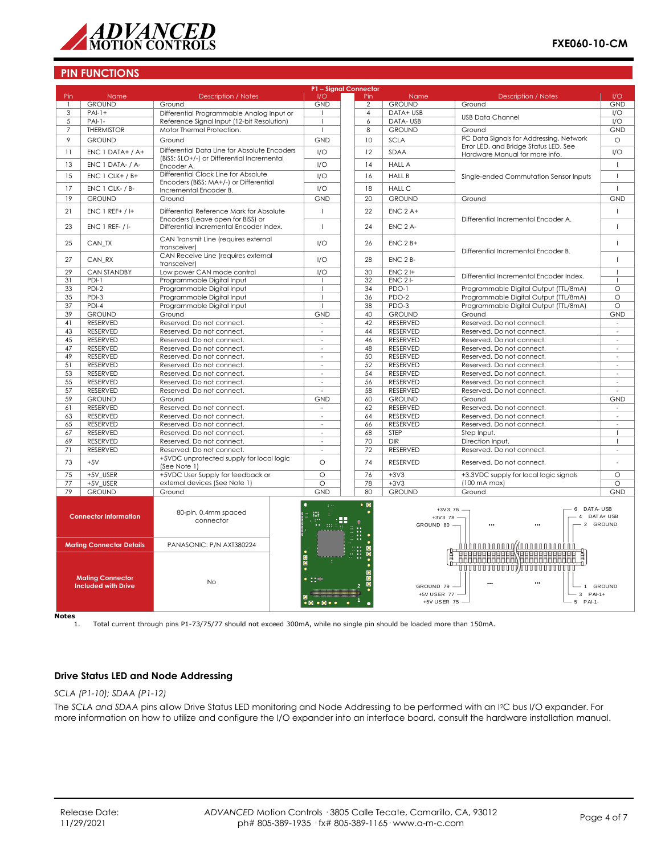

### **PIN FUNCTIONS**

| P1 - Signal Connector                                                                                                                                                                         |                                                            |                                                                                            |                                    |                  |                            |                                                                                                                        |                          |
|-----------------------------------------------------------------------------------------------------------------------------------------------------------------------------------------------|------------------------------------------------------------|--------------------------------------------------------------------------------------------|------------------------------------|------------------|----------------------------|------------------------------------------------------------------------------------------------------------------------|--------------------------|
| Pin                                                                                                                                                                                           | Name                                                       | <b>Description / Notes</b>                                                                 | 1/O                                | Pin              | Name                       | <b>Description / Notes</b>                                                                                             | 1/O                      |
|                                                                                                                                                                                               | <b>GROUND</b>                                              | Ground                                                                                     | <b>GND</b>                         | $\overline{2}$   | <b>GROUND</b>              | Ground                                                                                                                 | <b>GND</b>               |
| 3                                                                                                                                                                                             | $PAI-1+$                                                   | Differential Programmable Analog Input or                                                  | $\mathbf{I}$                       | $\overline{4}$   | DATA+ USB                  | <b>USB Data Channel</b>                                                                                                | I/O                      |
| 5                                                                                                                                                                                             | $PAI-I-$                                                   | Reference Signal Input (12-bit Resolution)                                                 | $\mathbf{I}$                       | 6                | DATA-USB                   |                                                                                                                        | I/O                      |
| 7                                                                                                                                                                                             | <b>THERMISTOR</b>                                          | Motor Thermal Protection.                                                                  |                                    | 8                | <b>GROUND</b>              | Ground                                                                                                                 | <b>GND</b>               |
| 9                                                                                                                                                                                             | <b>GROUND</b>                                              | Ground                                                                                     |                                    | <b>GND</b><br>10 | SCLA                       | I <sup>2</sup> C Data Signals for Addressing, Network                                                                  | $\circ$                  |
|                                                                                                                                                                                               |                                                            |                                                                                            |                                    |                  |                            | Error LED, and Bridge Status LED, See                                                                                  |                          |
| 11                                                                                                                                                                                            | ENC 1 DATA+ / A+                                           | Differential Data Line for Absolute Encoders<br>(BiSS: SLO+/-) or Differential Incremental | 1/O                                | 12               | SDAA                       | Hardware Manual for more info.                                                                                         | 1/O                      |
| 13                                                                                                                                                                                            | ENC 1 DATA- / A-                                           | Encoder A.                                                                                 | 1/O                                | 14               | <b>HALL A</b>              |                                                                                                                        | $\mathbf{I}$             |
|                                                                                                                                                                                               |                                                            | Differential Clock Line for Absolute                                                       |                                    |                  |                            |                                                                                                                        |                          |
| 15                                                                                                                                                                                            | $ENC 1 CLK+ / B+$                                          | Encoders (BiSS: MA+/-) or Differential                                                     | 1/O                                | 16               | <b>HALL B</b>              | Single-ended Commutation Sensor Inputs                                                                                 | $\mathbf{I}$             |
| 17                                                                                                                                                                                            | ENC 1 CLK- / B-                                            | Incremental Encoder B.                                                                     | 1/O                                | 18               | <b>HALL C</b>              |                                                                                                                        | $\overline{1}$           |
| 19                                                                                                                                                                                            | <b>GROUND</b>                                              | Ground                                                                                     | <b>GND</b>                         | 20               | <b>GROUND</b>              | Ground                                                                                                                 | <b>GND</b>               |
|                                                                                                                                                                                               |                                                            |                                                                                            |                                    |                  |                            |                                                                                                                        |                          |
| 21                                                                                                                                                                                            | $ENC 1 REF+ / H$                                           | Differential Reference Mark for Absolute                                                   | $\mathbf{I}$                       | 22               | $ENC$ 2 A+                 |                                                                                                                        | $\overline{1}$           |
| 23                                                                                                                                                                                            | $ENC$ 1 REF- $/$ I-                                        | Encoders (Leave open for BiSS) or<br>Differential Incremental Encoder Index.               | $\overline{1}$                     | 24               | ENC 2 A-                   | Differential Incremental Encoder A.                                                                                    | $\mathbf{I}$             |
|                                                                                                                                                                                               |                                                            |                                                                                            |                                    |                  |                            |                                                                                                                        |                          |
| 25                                                                                                                                                                                            | CAN_TX                                                     | CAN Transmit Line (requires external                                                       | 1/O                                | 26               | $ENC$ $2B+$                |                                                                                                                        | $\mathbf{I}$             |
|                                                                                                                                                                                               |                                                            | transceiverl                                                                               |                                    |                  |                            | Differential Incremental Encoder B.                                                                                    |                          |
| 27                                                                                                                                                                                            | CAN RX                                                     | CAN Receive Line (requires external                                                        | I/O                                | 28               | $ENC$ $2B$ -               |                                                                                                                        | $\overline{1}$           |
|                                                                                                                                                                                               |                                                            | transceiver)                                                                               |                                    |                  |                            |                                                                                                                        |                          |
| 29                                                                                                                                                                                            | <b>CAN STANDBY</b>                                         | Low power CAN mode control                                                                 | 1/O                                | 30               | $ENC$ 2 I+                 | Differential Incremental Encoder Index.                                                                                | $\mathbf{I}$             |
| 31                                                                                                                                                                                            | $PDI-1$                                                    | Programmable Digital Input                                                                 | $\mathbf{I}$                       | 32               | <b>ENC 21-</b>             |                                                                                                                        | $\overline{1}$           |
| 33                                                                                                                                                                                            | $PDI-2$                                                    | Programmable Digital Input                                                                 | $\mathbf{I}$                       | 34               | PDO-1                      | Programmable Digital Output (TTL/8mA)                                                                                  | $\circ$                  |
| 35                                                                                                                                                                                            | PDI-3                                                      | Programmable Digital Input                                                                 | $\overline{1}$                     | 36               | PDO-2                      | Programmable Digital Output (TTL/8mA)                                                                                  | $\circ$                  |
| 37                                                                                                                                                                                            | PDI-4                                                      | Programmable Digital Input                                                                 | $\mathbf{I}$                       | 38               | PDO-3                      | Programmable Digital Output (TTL/8mA)                                                                                  | $\circ$                  |
| 39                                                                                                                                                                                            | <b>GROUND</b>                                              | Ground                                                                                     | <b>GND</b>                         | 40               | <b>GROUND</b>              | Ground                                                                                                                 | <b>GND</b>               |
| 41                                                                                                                                                                                            | <b>RESERVED</b>                                            | Reserved. Do not connect.                                                                  | $\overline{\phantom{a}}$           | 42               | RESERVED                   | Reserved. Do not connect.                                                                                              | $\overline{\phantom{a}}$ |
| 43                                                                                                                                                                                            | <b>RESERVED</b>                                            | Reserved. Do not connect.                                                                  | $\overline{\phantom{a}}$           | 44               | <b>RESERVED</b>            | Reserved. Do not connect.                                                                                              | $\overline{\phantom{a}}$ |
| 45                                                                                                                                                                                            | <b>RESERVED</b>                                            | Reserved. Do not connect.                                                                  | $\sim$                             | 46               | <b>RESERVED</b>            | Reserved. Do not connect.                                                                                              | $\sim$                   |
| 47                                                                                                                                                                                            | RESERVED                                                   | Reserved. Do not connect.                                                                  |                                    | 48<br>$\sim$     | RESERVED                   | Reserved. Do not connect.                                                                                              | $\overline{\phantom{a}}$ |
| 49                                                                                                                                                                                            | RESERVED                                                   | Reserved. Do not connect.                                                                  | $\omega$                           | 50               | <b>RESERVED</b>            | Reserved. Do not connect.                                                                                              | $\omega$                 |
| 51                                                                                                                                                                                            | RESERVED                                                   | Reserved. Do not connect.                                                                  | $\overline{\phantom{a}}$           | 52               | RESERVED                   | Reserved. Do not connect.                                                                                              | $\overline{\phantom{a}}$ |
| 53                                                                                                                                                                                            | RESERVED                                                   | Reserved. Do not connect.                                                                  | $\sim$                             | 54               | RESERVED                   | Reserved. Do not connect.                                                                                              | $\sim$                   |
| 55                                                                                                                                                                                            | RESERVED                                                   | Reserved. Do not connect.                                                                  | $\overline{\phantom{a}}$           | 56               | <b>RESERVED</b>            | Reserved. Do not connect.                                                                                              | $\bar{a}$                |
| 57                                                                                                                                                                                            | RESERVED                                                   | Reserved. Do not connect.                                                                  | ÷,                                 | 58               | RESERVED                   | Reserved. Do not connect.                                                                                              | $\sim$                   |
| 59                                                                                                                                                                                            | <b>GROUND</b>                                              | Ground                                                                                     | <b>GND</b>                         | 60               | <b>GROUND</b>              | Ground                                                                                                                 | <b>GND</b>               |
| 61                                                                                                                                                                                            | RESERVED                                                   | Reserved. Do not connect.                                                                  | $\overline{\phantom{a}}$           | 62               | RESERVED                   | Reserved. Do not connect.                                                                                              | $\sim$                   |
| 63                                                                                                                                                                                            | <b>RESERVED</b>                                            | Reserved. Do not connect.                                                                  | $\sim$                             | 64               | <b>RESERVED</b>            | Reserved. Do not connect.                                                                                              | $\sim$                   |
| 65                                                                                                                                                                                            | RESERVED                                                   | Reserved. Do not connect.                                                                  | $\overline{\phantom{a}}$           | 66               | RESERVED                   | Reserved. Do not connect.                                                                                              | ÷,                       |
| 67                                                                                                                                                                                            | <b>RESERVED</b>                                            | Reserved. Do not connect.                                                                  | $\sim$                             | 68               | STEP                       | Step Input.                                                                                                            | T                        |
| 69                                                                                                                                                                                            | <b>RESERVED</b>                                            | Reserved. Do not connect.                                                                  | $\sim$                             | 70               | <b>DIR</b>                 | Direction Input.                                                                                                       | $\mathbf{I}$             |
| 71                                                                                                                                                                                            | RESERVED                                                   | Reserved. Do not connect.                                                                  | $\sim$                             | 72               | <b>RESERVED</b>            | Reserved. Do not connect.                                                                                              | $\sim$                   |
|                                                                                                                                                                                               |                                                            | +5VDC unprotected supply for local logic                                                   |                                    |                  |                            |                                                                                                                        |                          |
| 73                                                                                                                                                                                            | $+5V$                                                      | (See Note 1)                                                                               | $\Omega$                           | 74               | <b>RESERVED</b>            | Reserved. Do not connect.                                                                                              |                          |
| 75                                                                                                                                                                                            | +5V USER                                                   | +5VDC User Supply for feedback or                                                          | $\Omega$                           | 76               | $+32$                      | +3.3VDC supply for local logic signals                                                                                 | $\Omega$                 |
| 77                                                                                                                                                                                            | +5V USER                                                   | external devices (See Note 1)                                                              | $\overline{\circ}$                 | 78               | $+3V3$                     | $(100 \text{ mA max})$                                                                                                 | $\overline{\circ}$       |
| 79                                                                                                                                                                                            | <b>GROUND</b>                                              | Ground                                                                                     | <b>GND</b>                         | 80               | <b>GROUND</b>              | Ground                                                                                                                 | <b>GND</b>               |
|                                                                                                                                                                                               | <b>Connector Information</b>                               | 80-pin, 0.4mm spaced<br>connector                                                          | 器                                  | $\bullet$ 0<br>æ | $+3V3$ 78 -<br>GROUND 80 - | DAT A- USB<br>$+3V3$ 76 -<br>6<br>$\overline{4}$<br>$\cdots$<br>                                                       | DAT A+ USB<br>2 GROUND   |
|                                                                                                                                                                                               | <b>Mating Connector Details</b><br><b>Mating Connector</b> | PANASONIC: P/N AXT380224                                                                   | $\overline{\bullet}$<br>$\sim$ 100 |                  |                            | Addanananan (ananananadidi)<br>HHHHHHHHHHHHHHHHHHH<br><del>ਗ਼ਗ਼ਗ਼ਜ਼ਜ਼ਜ਼ਜ਼ਜ਼ਜ਼ਜ਼ਜ਼ਲ਼ਲ਼ਜ਼ਜ਼ਜ਼ਜ਼ਜ਼ਜ਼ਜ਼ਜ਼ਜ਼ਜ਼</del> ਜ਼ਜ਼ਜ਼ |                          |
| No<br><b>Included with Drive</b><br>$\bullet\textcolor{red}{\bullet}\textcolor{red}{\bullet}\textcolor{red}{\bullet}\textcolor{red}{\bullet}\textcolor{red}{\bullet}\textcolor{red}{\bullet}$ |                                                            | GROUND 79 -<br>1 GROUND<br>+5V USER 77 -<br>$3$ PAI-1+<br>+5V USER 75 -<br>5 PAI-1-        |                                    |                  |                            |                                                                                                                        |                          |

**Notes**

1. Total current through pins P1-73/75/77 should not exceed 300mA, while no single pin should be loaded more than 150mA.

# **Drive Status LED and Node Addressing**

*SCLA (P1-10); SDAA (P1-12)*

The *SCLA and SDAA* pins allow Drive Status LED monitoring and Node Addressing to be performed with an I2C bus I/O expander. For more information on how to utilize and configure the I/O expander into an interface board, consult the hardware installation manual.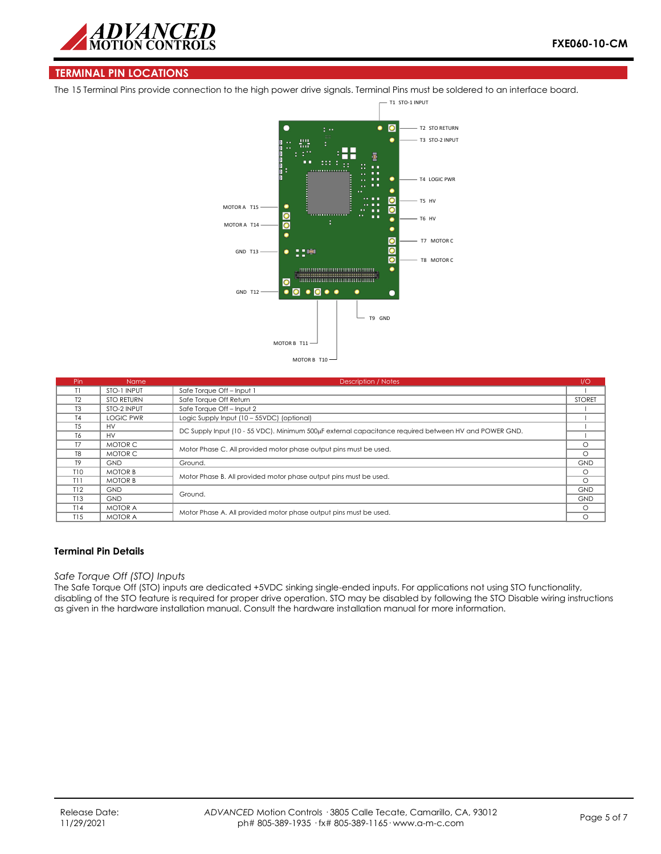

# **TERMINAL PIN LOCATIONS**

The 15 Terminal Pins provide connection to the high power drive signals. Terminal Pins must be soldered to an interface board.



| Pin            | <b>Name</b>       | <b>Description / Notes</b>                                                                           | 1/O           |
|----------------|-------------------|------------------------------------------------------------------------------------------------------|---------------|
| T1             | STO-1 INPUT       | Safe Torque Off-Input 1                                                                              |               |
| T <sub>2</sub> | <b>STO RETURN</b> | Safe Torque Off Return                                                                               | <b>STORET</b> |
| T <sub>3</sub> | STO-2 INPUT       | Safe Torque Off - Input 2                                                                            |               |
| T <sub>4</sub> | <b>LOGIC PWR</b>  | Logic Supply Input (10 - 55VDC) (optional)                                                           |               |
| <b>T5</b>      | <b>HV</b>         | DC Supply Input (10 - 55 VDC). Minimum 500µF external capacitance required between HV and POWER GND. |               |
| T6             | <b>HV</b>         |                                                                                                      |               |
| T7             | MOTOR C           | Motor Phase C. All provided motor phase output pins must be used.                                    |               |
| T <sub>8</sub> | MOTOR C           |                                                                                                      |               |
| T <sub>9</sub> | <b>GND</b>        | Ground.                                                                                              | <b>GND</b>    |
| T10            | <b>MOTOR B</b>    |                                                                                                      | $\Omega$      |
| T11            | <b>MOTOR B</b>    | Motor Phase B. All provided motor phase output pins must be used.                                    |               |
| T12            | <b>GND</b>        |                                                                                                      | <b>GND</b>    |
| T13            | <b>GND</b>        | Ground.                                                                                              |               |
| T14            | <b>MOTOR A</b>    | Motor Phase A. All provided motor phase output pins must be used.                                    |               |
| T15            | <b>MOTOR A</b>    |                                                                                                      |               |

#### **Terminal Pin Details**

#### *Safe Torque Off (STO) Inputs*

The Safe Torque Off (STO) inputs are dedicated +5VDC sinking single-ended inputs. For applications not using STO functionality, disabling of the STO feature is required for proper drive operation. STO may be disabled by following the STO Disable wiring instructions as given in the hardware installation manual. Consult the hardware installation manual for more information.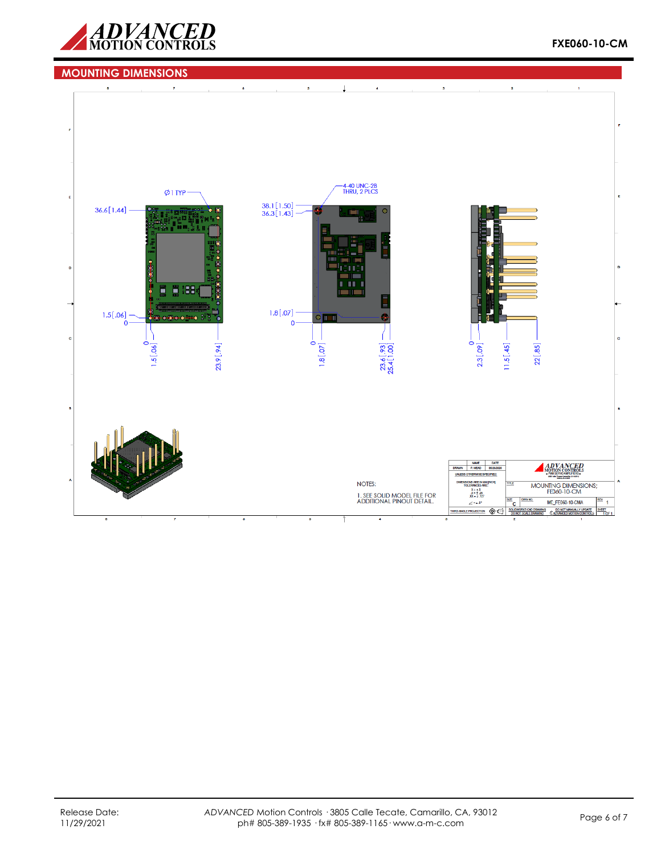

# **MOUNTING DIMENSIONS**